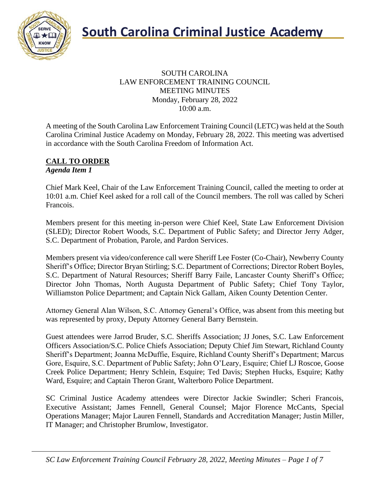

#### SOUTH CAROLINA LAW ENFORCEMENT TRAINING COUNCIL MEETING MINUTES Monday, February 28, 2022 10:00 a.m.

A meeting of the South Carolina Law Enforcement Training Council (LETC) was held at the South Carolina Criminal Justice Academy on Monday, February 28, 2022. This meeting was advertised in accordance with the South Carolina Freedom of Information Act.

#### **CALL TO ORDER** *Agenda Item 1*

Chief Mark Keel, Chair of the Law Enforcement Training Council, called the meeting to order at 10:01 a.m. Chief Keel asked for a roll call of the Council members. The roll was called by Scheri Francois.

Members present for this meeting in-person were Chief Keel, State Law Enforcement Division (SLED); Director Robert Woods, S.C. Department of Public Safety; and Director Jerry Adger, S.C. Department of Probation, Parole, and Pardon Services.

Members present via video/conference call were Sheriff Lee Foster (Co-Chair), Newberry County Sheriff's Office; Director Bryan Stirling; S.C. Department of Corrections; Director Robert Boyles, S.C. Department of Natural Resources; Sheriff Barry Faile, Lancaster County Sheriff's Office; Director John Thomas, North Augusta Department of Public Safety; Chief Tony Taylor, Williamston Police Department; and Captain Nick Gallam, Aiken County Detention Center.

Attorney General Alan Wilson, S.C. Attorney General's Office, was absent from this meeting but was represented by proxy, Deputy Attorney General Barry Bernstein.

Guest attendees were Jarrod Bruder, S.C. Sheriffs Association; JJ Jones, S.C. Law Enforcement Officers Association/S.C. Police Chiefs Association; Deputy Chief Jim Stewart, Richland County Sheriff's Department; Joanna McDuffie, Esquire, Richland County Sheriff's Department; Marcus Gore, Esquire, S.C. Department of Public Safety; John O'Leary, Esquire; Chief LJ Roscoe, Goose Creek Police Department; Henry Schlein, Esquire; Ted Davis; Stephen Hucks, Esquire; Kathy Ward, Esquire; and Captain Theron Grant, Walterboro Police Department.

SC Criminal Justice Academy attendees were Director Jackie Swindler; Scheri Francois, Executive Assistant; James Fennell, General Counsel; Major Florence McCants, Special Operations Manager; Major Lauren Fennell, Standards and Accreditation Manager; Justin Miller, IT Manager; and Christopher Brumlow, Investigator.

*SC Law Enforcement Training Council February 28, 2022, Meeting Minutes – Page 1 of 7*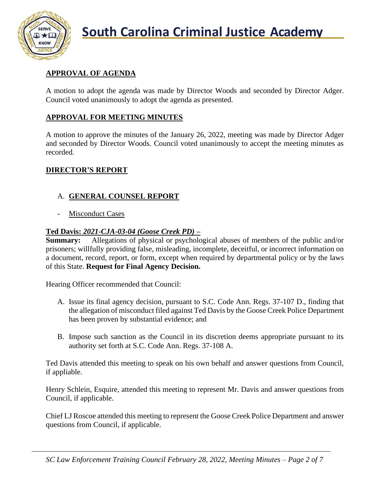

## **APPROVAL OF AGENDA**

A motion to adopt the agenda was made by Director Woods and seconded by Director Adger. Council voted unanimously to adopt the agenda as presented.

## **APPROVAL FOR MEETING MINUTES**

A motion to approve the minutes of the January 26, 2022, meeting was made by Director Adger and seconded by Director Woods. Council voted unanimously to accept the meeting minutes as recorded.

## **DIRECTOR'S REPORT**

## A. **GENERAL COUNSEL REPORT**

Misconduct Cases

## **Ted Davis:** *2021-CJA-03-04 (Goose Creek PD)* **–**

**Summary:** Allegations of physical or psychological abuses of members of the public and/or prisoners; willfully providing false, misleading, incomplete, deceitful, or incorrect information on a document, record, report, or form, except when required by departmental policy or by the laws of this State. **Request for Final Agency Decision.**

Hearing Officer recommended that Council:

- A. Issue its final agency decision, pursuant to S.C. Code Ann. Regs. 37-107 D., finding that the allegation of misconduct filed against Ted Davis by the Goose Creek Police Department has been proven by substantial evidence; and
- B. Impose such sanction as the Council in its discretion deems appropriate pursuant to its authority set forth at S.C. Code Ann. Regs. 37-108 A.

Ted Davis attended this meeting to speak on his own behalf and answer questions from Council, if appliable.

Henry Schlein, Esquire, attended this meeting to represent Mr. Davis and answer questions from Council, if applicable.

Chief LJ Roscoe attended this meeting to represent the Goose Creek Police Department and answer questions from Council, if applicable.

*SC Law Enforcement Training Council February 28, 2022, Meeting Minutes – Page 2 of 7*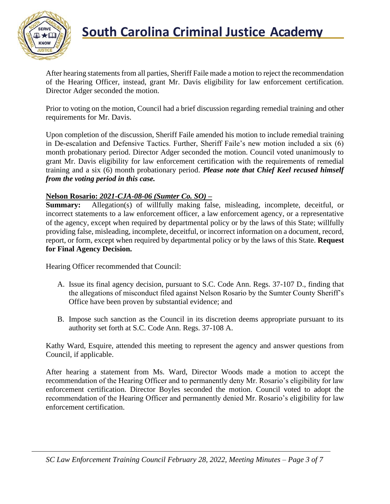

## **South Carolina Criminal Justice Academy**

After hearing statements from all parties, Sheriff Faile made a motion to reject the recommendation of the Hearing Officer, instead, grant Mr. Davis eligibility for law enforcement certification. Director Adger seconded the motion.

Prior to voting on the motion, Council had a brief discussion regarding remedial training and other requirements for Mr. Davis.

Upon completion of the discussion, Sheriff Faile amended his motion to include remedial training in De-escalation and Defensive Tactics. Further, Sheriff Faile's new motion included a six (6) month probationary period. Director Adger seconded the motion. Council voted unanimously to grant Mr. Davis eligibility for law enforcement certification with the requirements of remedial training and a six (6) month probationary period. *Please note that Chief Keel recused himself from the voting period in this case.*

#### **Nelson Rosario:** *2021-CJA-08-06 (Sumter Co. SO)* **–**

**Summary:** Allegation(s) of willfully making false, misleading, incomplete, deceitful, or incorrect statements to a law enforcement officer, a law enforcement agency, or a representative of the agency, except when required by departmental policy or by the laws of this State; willfully providing false, misleading, incomplete, deceitful, or incorrect information on a document, record, report, or form, except when required by departmental policy or by the laws of this State. **Request for Final Agency Decision.**

Hearing Officer recommended that Council:

- A. Issue its final agency decision, pursuant to S.C. Code Ann. Regs. 37-107 D., finding that the allegations of misconduct filed against Nelson Rosario by the Sumter County Sheriff's Office have been proven by substantial evidence; and
- B. Impose such sanction as the Council in its discretion deems appropriate pursuant to its authority set forth at S.C. Code Ann. Regs. 37-108 A.

Kathy Ward, Esquire, attended this meeting to represent the agency and answer questions from Council, if applicable.

After hearing a statement from Ms. Ward, Director Woods made a motion to accept the recommendation of the Hearing Officer and to permanently deny Mr. Rosario's eligibility for law enforcement certification. Director Boyles seconded the motion. Council voted to adopt the recommendation of the Hearing Officer and permanently denied Mr. Rosario's eligibility for law enforcement certification.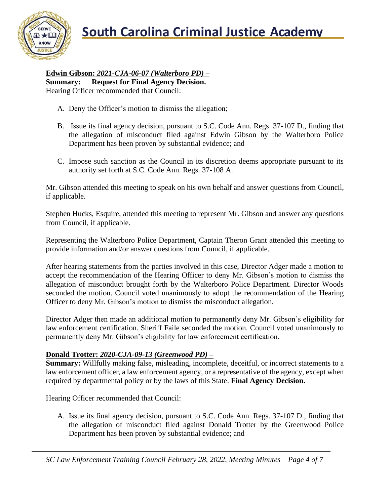**South Carolina Criminal Justice Academy**<br>KNOW



**Edwin Gibson:** *2021-CJA-06-07 (Walterboro PD)* **– Summary: Request for Final Agency Decision.** Hearing Officer recommended that Council:

- A. Deny the Officer's motion to dismiss the allegation;
- B. Issue its final agency decision, pursuant to S.C. Code Ann. Regs. 37-107 D., finding that the allegation of misconduct filed against Edwin Gibson by the Walterboro Police Department has been proven by substantial evidence; and
- C. Impose such sanction as the Council in its discretion deems appropriate pursuant to its authority set forth at S.C. Code Ann. Regs. 37-108 A.

Mr. Gibson attended this meeting to speak on his own behalf and answer questions from Council, if applicable.

Stephen Hucks, Esquire, attended this meeting to represent Mr. Gibson and answer any questions from Council, if applicable.

Representing the Walterboro Police Department, Captain Theron Grant attended this meeting to provide information and/or answer questions from Council, if applicable.

After hearing statements from the parties involved in this case, Director Adger made a motion to accept the recommendation of the Hearing Officer to deny Mr. Gibson's motion to dismiss the allegation of misconduct brought forth by the Walterboro Police Department. Director Woods seconded the motion. Council voted unanimously to adopt the recommendation of the Hearing Officer to deny Mr. Gibson's motion to dismiss the misconduct allegation.

Director Adger then made an additional motion to permanently deny Mr. Gibson's eligibility for law enforcement certification. Sheriff Faile seconded the motion. Council voted unanimously to permanently deny Mr. Gibson's eligibility for law enforcement certification.

## **Donald Trotter:** *2020-CJA-09-13 (Greenwood PD) –*

**Summary:** Willfully making false, misleading, incomplete, deceitful, or incorrect statements to a law enforcement officer, a law enforcement agency, or a representative of the agency, except when required by departmental policy or by the laws of this State. **Final Agency Decision.**

Hearing Officer recommended that Council:

A. Issue its final agency decision, pursuant to S.C. Code Ann. Regs. 37-107 D., finding that the allegation of misconduct filed against Donald Trotter by the Greenwood Police Department has been proven by substantial evidence; and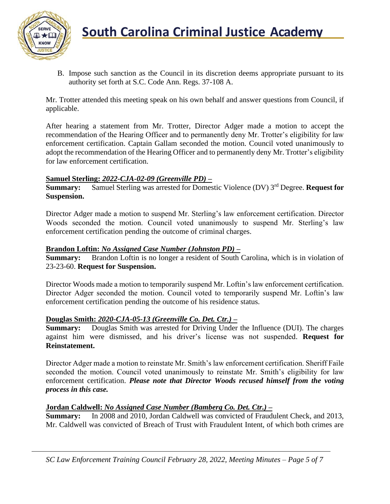

B. Impose such sanction as the Council in its discretion deems appropriate pursuant to its authority set forth at S.C. Code Ann. Regs. 37-108 A.

Mr. Trotter attended this meeting speak on his own behalf and answer questions from Council, if applicable.

After hearing a statement from Mr. Trotter, Director Adger made a motion to accept the recommendation of the Hearing Officer and to permanently deny Mr. Trotter's eligibility for law enforcement certification. Captain Gallam seconded the motion. Council voted unanimously to adopt the recommendation of the Hearing Officer and to permanently deny Mr. Trotter's eligibility for law enforcement certification.

#### **Samuel Sterling:** *2022-CJA-02-09 (Greenville PD)* **–**

**Summary:** Samuel Sterling was arrested for Domestic Violence (DV) 3<sup>rd</sup> Degree. **Request for Suspension.**

Director Adger made a motion to suspend Mr. Sterling's law enforcement certification. Director Woods seconded the motion. Council voted unanimously to suspend Mr. Sterling's law enforcement certification pending the outcome of criminal charges.

#### **Brandon Loftin:** *No Assigned Case Number (Johnston PD)* **–**

**Summary:** Brandon Loftin is no longer a resident of South Carolina, which is in violation of 23-23-60. **Request for Suspension.**

Director Woods made a motion to temporarily suspend Mr. Loftin's law enforcement certification. Director Adger seconded the motion. Council voted to temporarily suspend Mr. Loftin's law enforcement certification pending the outcome of his residence status.

#### **Douglas Smith:** *2020-CJA-05-13 (Greenville Co. Det. Ctr.)* **–**

**Summary:** Douglas Smith was arrested for Driving Under the Influence (DUI). The charges against him were dismissed, and his driver's license was not suspended. **Request for Reinstatement.**

Director Adger made a motion to reinstate Mr. Smith's law enforcement certification. Sheriff Faile seconded the motion. Council voted unanimously to reinstate Mr. Smith's eligibility for law enforcement certification. *Please note that Director Woods recused himself from the voting process in this case.*

## **Jordan Caldwell:** *No Assigned Case Number (Bamberg Co. Det. Ctr.)* **–**

**Summary:** In 2008 and 2010, Jordan Caldwell was convicted of Fraudulent Check, and 2013, Mr. Caldwell was convicted of Breach of Trust with Fraudulent Intent, of which both crimes are

*SC Law Enforcement Training Council February 28, 2022, Meeting Minutes – Page 5 of 7*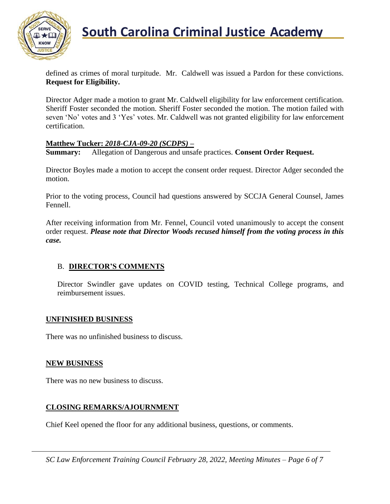

## **South Carolina Criminal Justice Academy**

defined as crimes of moral turpitude. Mr. Caldwell was issued a Pardon for these convictions. **Request for Eligibility.**

Director Adger made a motion to grant Mr. Caldwell eligibility for law enforcement certification. Sheriff Foster seconded the motion. Sheriff Foster seconded the motion. The motion failed with seven 'No' votes and 3 'Yes' votes. Mr. Caldwell was not granted eligibility for law enforcement certification.

#### **Matthew Tucker:** *2018-CJA-09-20 (SCDPS)* **–**

**Summary:** Allegation of Dangerous and unsafe practices. **Consent Order Request.** 

Director Boyles made a motion to accept the consent order request. Director Adger seconded the motion.

Prior to the voting process, Council had questions answered by SCCJA General Counsel, James Fennell.

After receiving information from Mr. Fennel, Council voted unanimously to accept the consent order request. *Please note that Director Woods recused himself from the voting process in this case.*

## B. **DIRECTOR'S COMMENTS**

Director Swindler gave updates on COVID testing, Technical College programs, and reimbursement issues.

#### **UNFINISHED BUSINESS**

There was no unfinished business to discuss.

#### **NEW BUSINESS**

There was no new business to discuss.

#### **CLOSING REMARKS/AJOURNMENT**

Chief Keel opened the floor for any additional business, questions, or comments.